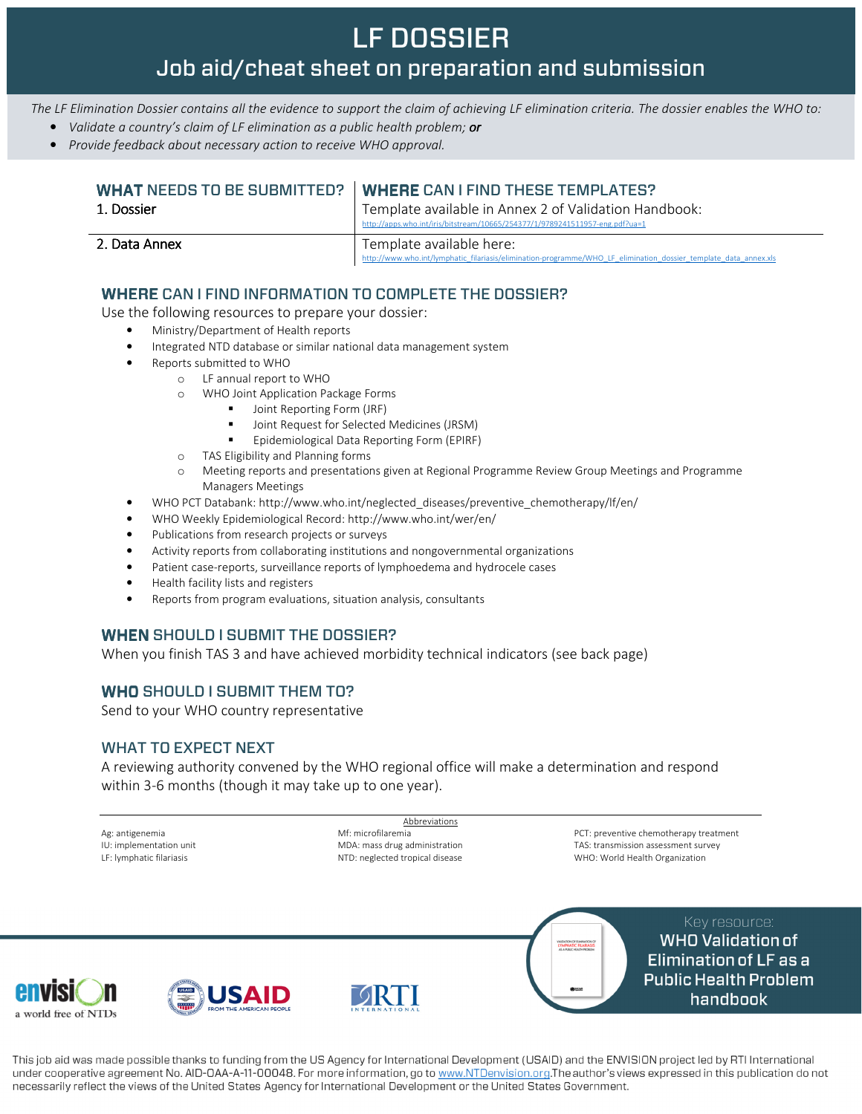# LF DOSSIER Job aid/cheat sheet on preparation and submission

The LF Elimination Dossier contains all the evidence to support the claim of achieving LF elimination criteria. The dossier enables the WHO to:

- Validate a country's claim of LF elimination as a public health problem; or
- Provide feedback about necessary action to receive WHO approval.

|               | <b>WHAT NEEDS TO BE SUBMITTED? WHERE CAN LEIND THESE TEMPLATES?</b>                                                                          |
|---------------|----------------------------------------------------------------------------------------------------------------------------------------------|
| 1. Dossier    | Template available in Annex 2 of Validation Handbook:<br>http://apps.who.int/iris/bitstream/10665/254377/1/9789241511957-eng.pdf?ua=1        |
| 2. Data Annex | Template available here:<br>http://www.who.int/lymphatic_filariasis/elimination-programme/WHO_LF_elimination_dossier_template_data_annex.xls |

### WHERE CAN I FIND INFORMATION TO COMPLETE THE DOSSIER?

Use the following resources to prepare your dossier:

- Ministry/Department of Health reports
- Integrated NTD database or similar national data management system
- Reports submitted to WHO
	- o LF annual report to WHO
		- o WHO Joint Application Package Forms
			- Joint Reporting Form (JRF)
				- Joint Request for Selected Medicines (JRSM)
				- Epidemiological Data Reporting Form (EPIRF)
		- o TAS Eligibility and Planning forms
	- o Meeting reports and presentations given at Regional Programme Review Group Meetings and Programme Managers Meetings
- WHO PCT Databank: http://www.who.int/neglected\_diseases/preventive\_chemotherapy/lf/en/
- WHO Weekly Epidemiological Record: http://www.who.int/wer/en/
- Publications from research projects or surveys
- Activity reports from collaborating institutions and nongovernmental organizations
- Patient case-reports, surveillance reports of lymphoedema and hydrocele cases
- Health facility lists and registers
- Reports from program evaluations, situation analysis, consultants

### WHEN SHOULD I SUBMIT THE DOSSIER?

When you finish TAS 3 and have achieved morbidity technical indicators (see back page)

### WHO SHOULD I SUBMIT THEM TO?

Send to your WHO country representative

#### WHAT TO EXPECT NEXT

A reviewing authority convened by the WHO regional office will make a determination and respond within 3-6 months (though it may take up to one year).

Abbreviations Ag: antigenemia IU: implementation unit LF: lymphatic filariasis Mf: microfilaremia MDA: mass drug administration NTD: neglected tropical disease PCT: preventive chemotherapy treatment TAS: transmission assessment survey WHO: World Health Organization

> Key resource: **WHO Validation of Elimination of LF as a Public Health Problem** handbook







This job aid was made possible thanks to funding from the US Agency for International Development (USAID) and the ENVISION project led by RTI International under cooperative agreement No. AID-OAA-A-11-00048. For more information, go to www.NTDenvision.org.The author's views expressed in this publication do not necessarily reflect the views of the United States Agency for International Development or the United States Government.